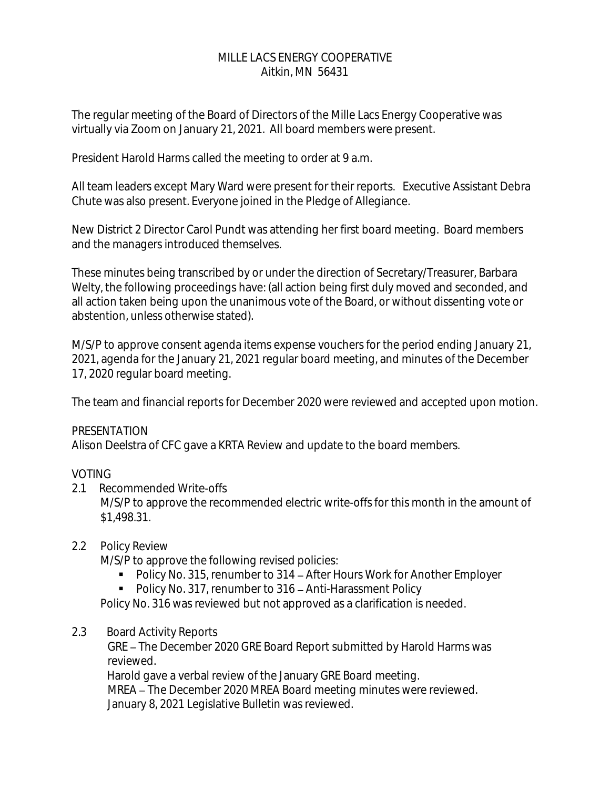## MILLE LACS ENERGY COOPERATIVE Aitkin, MN 56431

The regular meeting of the Board of Directors of the Mille Lacs Energy Cooperative was virtually via Zoom on January 21, 2021. All board members were present.

President Harold Harms called the meeting to order at 9 a.m.

All team leaders except Mary Ward were present for their reports. Executive Assistant Debra Chute was also present. Everyone joined in the Pledge of Allegiance.

New District 2 Director Carol Pundt was attending her first board meeting. Board members and the managers introduced themselves.

These minutes being transcribed by or under the direction of Secretary/Treasurer, Barbara Welty, the following proceedings have: (all action being first duly moved and seconded, and all action taken being upon the unanimous vote of the Board, or without dissenting vote or abstention, unless otherwise stated).

M/S/P to approve consent agenda items expense vouchers for the period ending January 21, 2021, agenda for the January 21, 2021 regular board meeting, and minutes of the December 17, 2020 regular board meeting.

The team and financial reports for December 2020 were reviewed and accepted upon motion.

## PRESENTATION

Alison Deelstra of CFC gave a KRTA Review and update to the board members.

# VOTING

2.1 Recommended Write-offs

M/S/P to approve the recommended electric write-offs for this month in the amount of \$1,498.31.

## 2.2 Policy Review

M/S/P to approve the following revised policies:

- Policy No. 315, renumber to 314 After Hours Work for Another Employer
- Policy No. 317, renumber to 316 Anti-Harassment Policy

Policy No. 316 was reviewed but not approved as a clarification is needed.

2.3 Board Activity Reports

GRE – The December 2020 GRE Board Report submitted by Harold Harms was reviewed.

 Harold gave a verbal review of the January GRE Board meeting. MREA - The December 2020 MREA Board meeting minutes were reviewed. January 8, 2021 Legislative Bulletin was reviewed.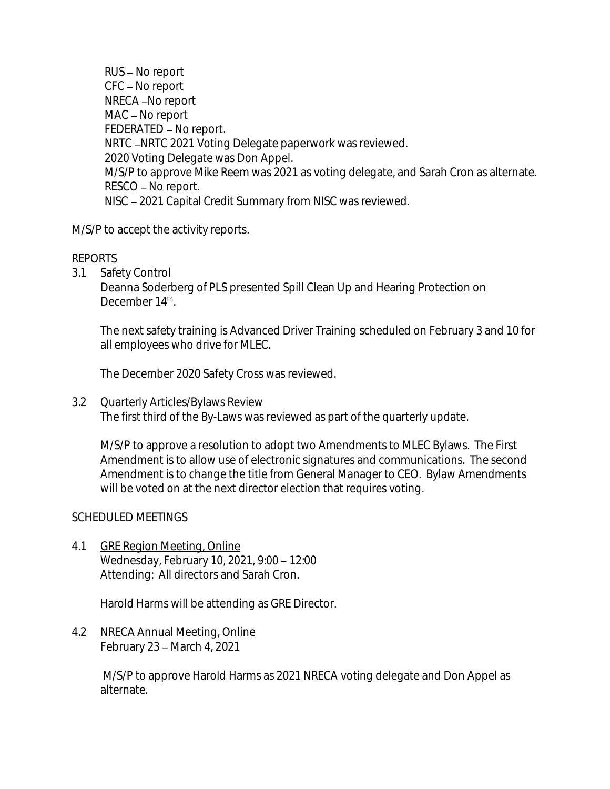$RUS - No$  report  $CFC - No report$ NRECA-No report MAC - No report  $FEDERATED - No report.$ NRTC -NRTC 2021 Voting Delegate paperwork was reviewed. 2020 Voting Delegate was Don Appel. M/S/P to approve Mike Reem was 2021 as voting delegate, and Sarah Cron as alternate. RESCO - No report. NISC 2021 Capital Credit Summary from NISC was reviewed.

M/S/P to accept the activity reports.

## REPORTS

3.1 Safety Control

Deanna Soderberg of PLS presented Spill Clean Up and Hearing Protection on December 14<sup>th</sup>.

The next safety training is Advanced Driver Training scheduled on February 3 and 10 for all employees who drive for MLEC.

The December 2020 Safety Cross was reviewed.

3.2 Quarterly Articles/Bylaws Review The first third of the By-Laws was reviewed as part of the quarterly update.

M/S/P to approve a resolution to adopt two Amendments to MLEC Bylaws. The First Amendment is to allow use of electronic signatures and communications. The second Amendment is to change the title from General Manager to CEO. Bylaw Amendments will be voted on at the next director election that requires voting.

## SCHEDULED MEETINGS

4.1 GRE Region Meeting, Online Wednesday, February 10, 2021, 9:00 - 12:00 Attending: All directors and Sarah Cron.

Harold Harms will be attending as GRE Director.

4.2 NRECA Annual Meeting, Online February  $23$  – March 4, 2021

> M/S/P to approve Harold Harms as 2021 NRECA voting delegate and Don Appel as alternate.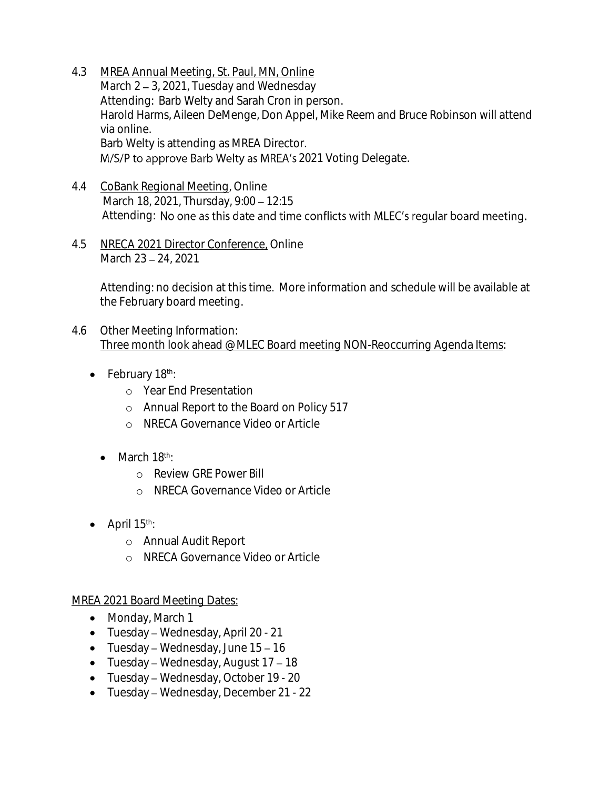- 4.3 MREA Annual Meeting, St. Paul, MN, Online March  $2 - 3$ , 2021, Tuesday and Wednesday Attending: Barb Welty and Sarah Cron in person. Harold Harms, Aileen DeMenge, Don Appel, Mike Reem and Bruce Robinson will attend via online. Barb Welty is attending as MREA Director. M/S/P to approve Barb Welty as MREA's 2021 Voting Delegate.
- 4.4 CoBank Regional Meeting, Online March 18, 2021, Thursday, 9:00 - 12:15 Attending: No one as this date and time conflicts with MLEC's regular board meeting.
- 4.5 NRECA 2021 Director Conference, Online March 23 - 24, 2021

Attending: no decision at this time. More information and schedule will be available at the February board meeting.

- 4.6 Other Meeting Information: Three month look ahead @ MLEC Board meeting NON-Reoccurring Agenda Items:
	- February 18th:
		- o Year End Presentation
		- o Annual Report to the Board on Policy 517
		- o NRECA Governance Video or Article
		- $\bullet$  March 18<sup>th</sup>:
			- o Review GRE Power Bill
			- o NRECA Governance Video or Article
	- $\bullet$  April 15<sup>th</sup>:
		- o Annual Audit Report
		- o NRECA Governance Video or Article

# MREA 2021 Board Meeting Dates:

- Monday, March 1
- $\bullet$  Tuesday Wednesday, April 20 21
- Tuesday Wednesday, June  $15 16$
- Tuesday Wednesday, August  $17 18$
- $\bullet$  Tuesday Wednesday, October 19 20
- Tuesday Wednesday, December 21 22